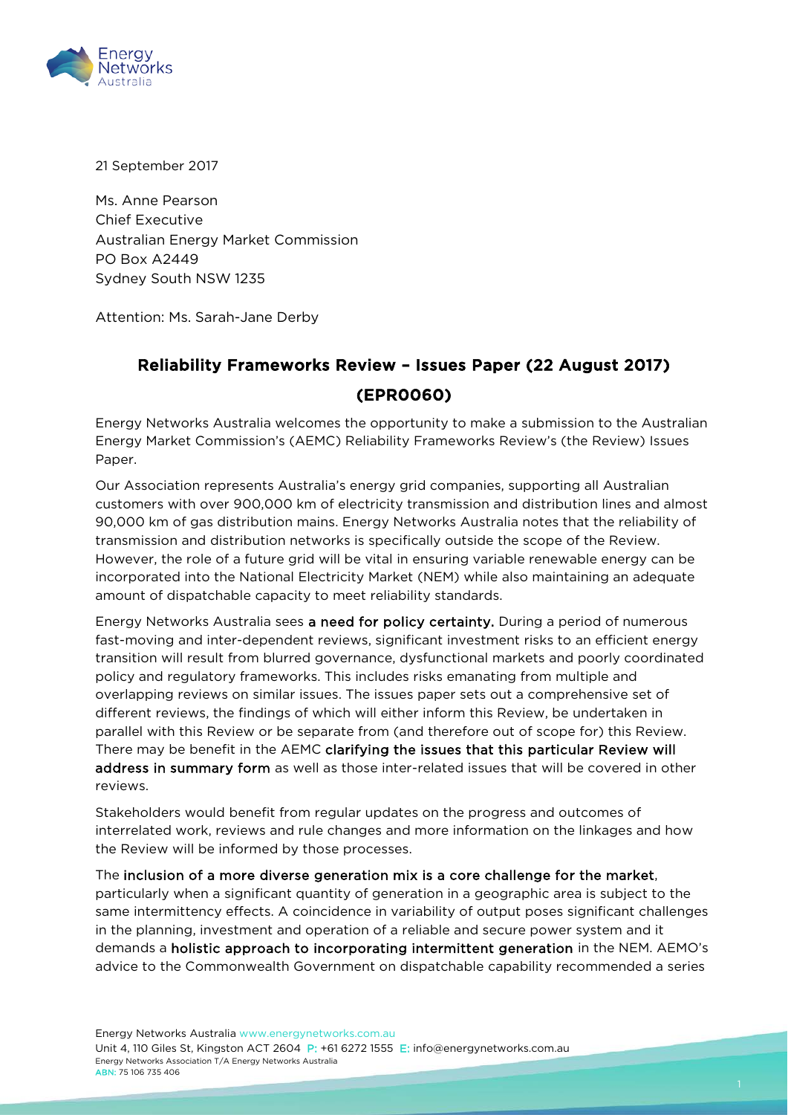

21 September 2017

Ms. Anne Pearson Chief Executive Australian Energy Market Commission PO Box A2449 Sydney South NSW 1235

Attention: Ms. Sarah-Jane Derby

## Reliability Frameworks Review – Issues Paper (22 August 2017) (EPR0060)

Energy Networks Australia welcomes the opportunity to make a submission to the Australian Energy Market Commission's (AEMC) Reliability Frameworks Review's (the Review) Issues Paper.

Our Association represents Australia's energy grid companies, supporting all Australian customers with over 900,000 km of electricity transmission and distribution lines and almost 90,000 km of gas distribution mains. Energy Networks Australia notes that the reliability of transmission and distribution networks is specifically outside the scope of the Review. However, the role of a future grid will be vital in ensuring variable renewable energy can be incorporated into the National Electricity Market (NEM) while also maintaining an adequate amount of dispatchable capacity to meet reliability standards.

Energy Networks Australia sees a need for policy certainty. During a period of numerous fast-moving and inter-dependent reviews, significant investment risks to an efficient energy transition will result from blurred governance, dysfunctional markets and poorly coordinated policy and regulatory frameworks. This includes risks emanating from multiple and overlapping reviews on similar issues. The issues paper sets out a comprehensive set of different reviews, the findings of which will either inform this Review, be undertaken in parallel with this Review or be separate from (and therefore out of scope for) this Review. There may be benefit in the AEMC clarifying the issues that this particular Review will address in summary form as well as those inter-related issues that will be covered in other reviews.

Stakeholders would benefit from regular updates on the progress and outcomes of interrelated work, reviews and rule changes and more information on the linkages and how the Review will be informed by those processes.

The inclusion of a more diverse generation mix is a core challenge for the market, particularly when a significant quantity of generation in a geographic area is subject to the same intermittency effects. A coincidence in variability of output poses significant challenges in the planning, investment and operation of a reliable and secure power system and it demands a holistic approach to incorporating intermittent generation in the NEM. AEMO's advice to the Commonwealth Government on dispatchable capability recommended a series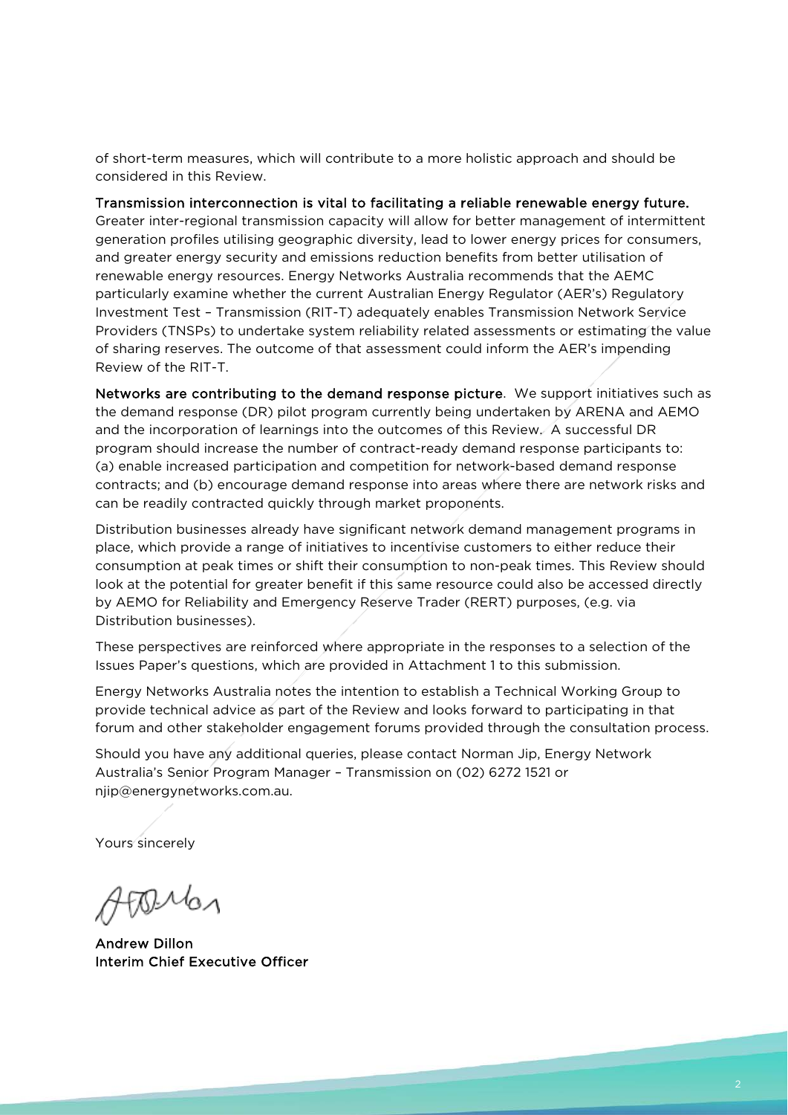of short-term measures, which will contribute to a more holistic approach and should be considered in this Review.

### Transmission interconnection is vital to facilitating a reliable renewable energy future.

Greater inter-regional transmission capacity will allow for better management of intermittent generation profiles utilising geographic diversity, lead to lower energy prices for consumers, and greater energy security and emissions reduction benefits from better utilisation of renewable energy resources. Energy Networks Australia recommends that the AEMC particularly examine whether the current Australian Energy Regulator (AER's) Regulatory Investment Test – Transmission (RIT-T) adequately enables Transmission Network Service Providers (TNSPs) to undertake system reliability related assessments or estimating the value of sharing reserves. The outcome of that assessment could inform the AER's impending Review of the RIT-T.

Networks are contributing to the demand response picture. We support initiatives such as the demand response (DR) pilot program currently being undertaken by ARENA and AEMO and the incorporation of learnings into the outcomes of this Review. A successful DR program should increase the number of contract-ready demand response participants to: (a) enable increased participation and competition for network-based demand response contracts; and (b) encourage demand response into areas where there are network risks and can be readily contracted quickly through market proponents.

Distribution businesses already have significant network demand management programs in place, which provide a range of initiatives to incentivise customers to either reduce their consumption at peak times or shift their consumption to non-peak times. This Review should look at the potential for greater benefit if this same resource could also be accessed directly by AEMO for Reliability and Emergency Reserve Trader (RERT) purposes, (e.g. via Distribution businesses).

These perspectives are reinforced where appropriate in the responses to a selection of the Issues Paper's questions, which are provided in Attachment 1 to this submission.

Energy Networks Australia notes the intention to establish a Technical Working Group to provide technical advice as part of the Review and looks forward to participating in that forum and other stakeholder engagement forums provided through the consultation process.

Should you have any additional queries, please contact Norman Jip, Energy Network Australia's Senior Program Manager – Transmission on (02) 6272 1521 or [njip@energynetworks.com.au.](mailto:njip@energynetworks.com.au)

Yours sincerely

**PD**Man

Andrew Dillon Interim Chief Executive Officer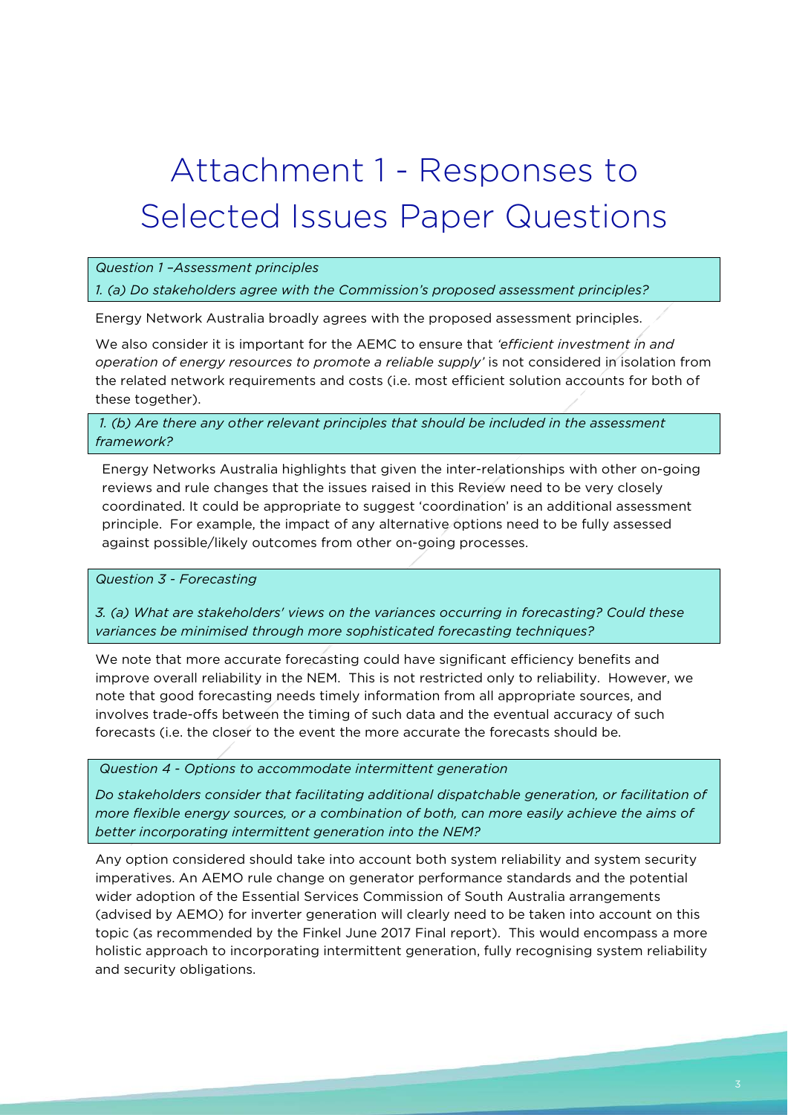# Attachment 1 - Responses to Selected Issues Paper Questions

### *Question 1 –Assessment principles*

#### *1. (a) Do stakeholders agree with the Commission's proposed assessment principles?*

Energy Network Australia broadly agrees with the proposed assessment principles.

We also consider it is important for the AEMC to ensure that *'efficient investment in and operation of energy resources to promote a reliable supply'* is not considered in isolation from the related network requirements and costs (i.e. most efficient solution accounts for both of these together).

*1. (b) Are there any other relevant principles that should be included in the assessment framework?*

Energy Networks Australia highlights that given the inter-relationships with other on-going reviews and rule changes that the issues raised in this Review need to be very closely coordinated. It could be appropriate to suggest 'coordination' is an additional assessment principle. For example, the impact of any alternative options need to be fully assessed against possible/likely outcomes from other on-going processes.

*Question 3 - Forecasting* 

*3. (a) What are stakeholders' views on the variances occurring in forecasting? Could these variances be minimised through more sophisticated forecasting techniques?* 

We note that more accurate forecasting could have significant efficiency benefits and improve overall reliability in the NEM. This is not restricted only to reliability. However, we note that good forecasting needs timely information from all appropriate sources, and involves trade-offs between the timing of such data and the eventual accuracy of such forecasts (i.e. the closer to the event the more accurate the forecasts should be.

*Question 4 - Options to accommodate intermittent generation* 

*Do stakeholders consider that facilitating additional dispatchable generation, or facilitation of more flexible energy sources, or a combination of both, can more easily achieve the aims of better incorporating intermittent generation into the NEM?* 

Any option considered should take into account both system reliability and system security imperatives. An AEMO rule change on generator performance standards and the potential wider adoption of the Essential Services Commission of South Australia arrangements (advised by AEMO) for inverter generation will clearly need to be taken into account on this topic (as recommended by the Finkel June 2017 Final report). This would encompass a more holistic approach to incorporating intermittent generation, fully recognising system reliability and security obligations.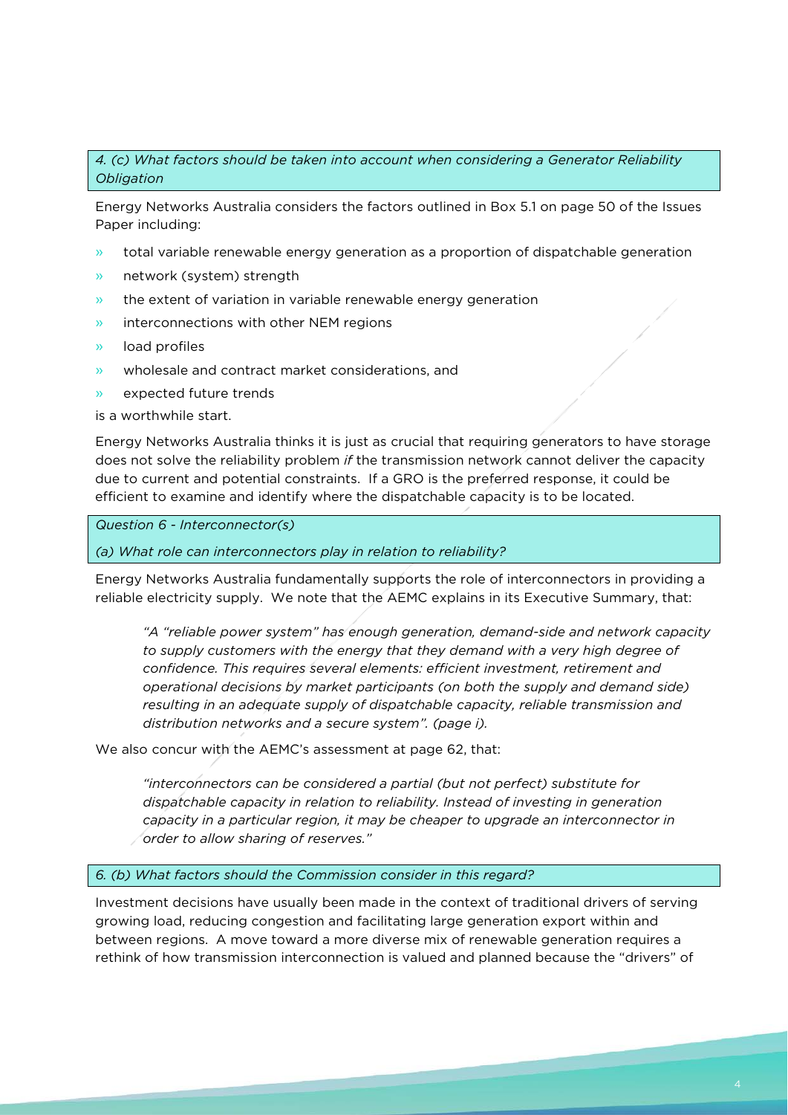*4. (c) What factors should be taken into account when considering a Generator Reliability Obligation*

Energy Networks Australia considers the factors outlined in Box 5.1 on page 50 of the Issues Paper including:

- » total variable renewable energy generation as a proportion of dispatchable generation
- » network (system) strength
- » the extent of variation in variable renewable energy generation
- » interconnections with other NEM regions
- » load profiles
- » wholesale and contract market considerations, and
- » expected future trends

is a worthwhile start.

Energy Networks Australia thinks it is just as crucial that requiring generators to have storage does not solve the reliability problem *if* the transmission network cannot deliver the capacity due to current and potential constraints. If a GRO is the preferred response, it could be efficient to examine and identify where the dispatchable capacity is to be located.

*Question 6 - Interconnector(s)* 

*(a) What role can interconnectors play in relation to reliability?* 

Energy Networks Australia fundamentally supports the role of interconnectors in providing a reliable electricity supply. We note that the AEMC explains in its Executive Summary, that:

*"A "reliable power system" has enough generation, demand-side and network capacity to supply customers with the energy that they demand with a very high degree of confidence. This requires several elements: efficient investment, retirement and operational decisions by market participants (on both the supply and demand side) resulting in an adequate supply of dispatchable capacity, reliable transmission and distribution networks and a secure system". (page i).*

We also concur with the AEMC's assessment at page 62, that:

*"interconnectors can be considered a partial (but not perfect) substitute for dispatchable capacity in relation to reliability. Instead of investing in generation capacity in a particular region, it may be cheaper to upgrade an interconnector in order to allow sharing of reserves."* 

*6. (b) What factors should the Commission consider in this regard?*

Investment decisions have usually been made in the context of traditional drivers of serving growing load, reducing congestion and facilitating large generation export within and between regions. A move toward a more diverse mix of renewable generation requires a rethink of how transmission interconnection is valued and planned because the "drivers" of